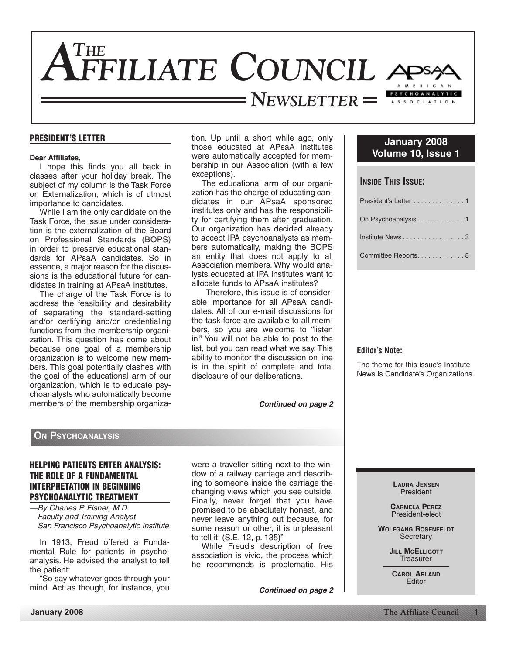

### **PRESIDENT'S LETTER**

### **Dear Affiliates,**

I hope this finds you all back in classes after your holiday break. The subject of my column is the Task Force on Externalization, which is of utmost importance to candidates.

While I am the only candidate on the Task Force, the issue under consideration is the externalization of the Board on Professional Standards (BOPS) in order to preserve educational standards for APsaA candidates. So in essence, a major reason for the discussions is the educational future for candidates in training at APsaA institutes.

The charge of the Task Force is to address the feasibility and desirability of separating the standard-setting and/or certifying and/or credentialing functions from the membership organization. This question has come about because one goal of a membership organization is to welcome new members. This goal potentially clashes with the goal of the educational arm of our organization, which is to educate psychoanalysts who automatically become members of the membership organization. Up until a short while ago, only those educated at APsaA institutes were automatically accepted for membership in our Association (with a few exceptions).

The educational arm of our organization has the charge of educating candidates in our APsaA sponsored institutes only and has the responsibility for certifying them after graduation. Our organization has decided already to accept IPA psychoanalysts as members automatically, making the BOPS an entity that does not apply to all Association members. Why would analysts educated at IPA institutes want to allocate funds to APsaA institutes?

Therefore, this issue is of considerable importance for all APsaA candidates. All of our e-mail discussions for the task force are available to all members, so you are welcome to "listen in." You will not be able to post to the list, but you can read what we say. This ability to monitor the discussion on line is in the spirit of complete and total disclosure of our deliberations.

*Continued on page 2*

# **January 2008 Volume 10, Issue 1**

| <b>INSIDE THIS ISSUE:</b> |
|---------------------------|
| President's Letter 1      |
| On Psychoanalysis1        |
| Institute News3           |
| Committee Reports. 8      |
|                           |

### **Editor's Note:**

The theme for this issue's Institute News is Candidate's Organizations.

### **ON PSYCHOANALYSIS**

# **HELPING PATIENTS ENTER ANALYSIS: THE ROLE OF A FUNDAMENTAL INTERPRETATION IN BEGINNING PSYCHOANALYTIC TREATMENT**

—By Charles P. Fisher, M.D. Faculty and Training Analyst San Francisco Psychoanalytic Institute

In 1913, Freud offered a Fundamental Rule for patients in psychoanalysis. He advised the analyst to tell the patient:

"So say whatever goes through your mind. Act as though, for instance, you were a traveller sitting next to the window of a railway carriage and describing to someone inside the carriage the changing views which you see outside. Finally, never forget that you have promised to be absolutely honest, and never leave anything out because, for some reason or other, it is unpleasant to tell it. (S.E. 12, p. 135)"

While Freud's description of free association is vivid, the process which he recommends is problematic. His

*Continued on page 2*

**LAURA JENSEN** President

**CARMELA PEREZ** President-elect

**WOLFGANG ROSENFELDT Secretary** 

> **JILL MCELLIGOTT Treasurer**

**CAROL ARLAND** Editor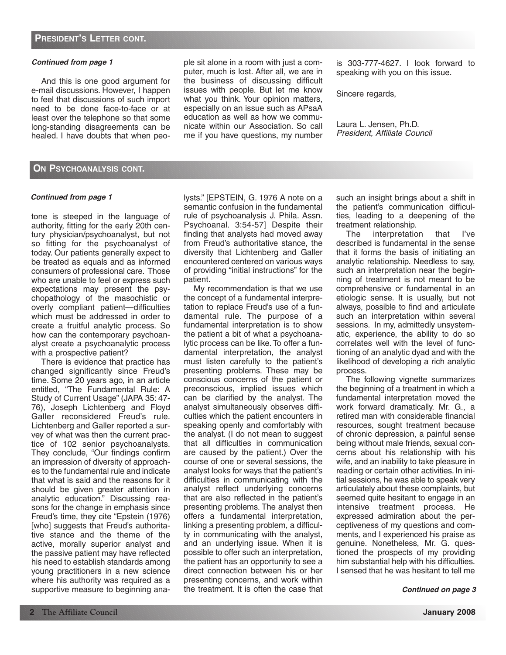And this is one good argument for e-mail discussions. However, I happen to feel that discussions of such import need to be done face-to-face or at least over the telephone so that some long-standing disagreements can be healed. I have doubts that when people sit alone in a room with just a computer, much is lost. After all, we are in the business of discussing difficult issues with people. But let me know what you think. Your opinion matters, especially on an issue such as APsaA education as well as how we communicate within our Association. So call me if you have questions, my number

is 303-777-4627. I look forward to speaking with you on this issue.

Sincere regards,

Laura L. Jensen, Ph.D. President, Affiliate Council

# **ON PSYCHOANALYSIS CONT.**

### *Continued from page 1*

tone is steeped in the language of authority, fitting for the early 20th century physician/psychoanalyst, but not so fitting for the psychoanalyst of today. Our patients generally expect to be treated as equals and as informed consumers of professional care. Those who are unable to feel or express such expectations may present the psychopathology of the masochistic or overly compliant patient—difficulties which must be addressed in order to create a fruitful analytic process. So how can the contemporary psychoanalyst create a psychoanalytic process with a prospective patient?

There is evidence that practice has changed significantly since Freud's time. Some 20 years ago, in an article entitled, "The Fundamental Rule: A Study of Current Usage" (JAPA 35: 47- 76), Joseph Lichtenberg and Floyd Galler reconsidered Freud's rule. Lichtenberg and Galler reported a survey of what was then the current practice of 102 senior psychoanalysts. They conclude, "Our findings confirm an impression of diversity of approaches to the fundamental rule and indicate that what is said and the reasons for it should be given greater attention in analytic education." Discussing reasons for the change in emphasis since Freud's time, they cite "Epstein (1976) [who] suggests that Freud's authoritative stance and the theme of the active, morally superior analyst and the passive patient may have reflected his need to establish standards among young practitioners in a new science where his authority was required as a supportive measure to beginning analysts." [EPSTEIN, G. 1976 A note on a semantic confusion in the fundamental rule of psychoanalysis J. Phila. Assn. Psychoanal. 3:54-57] Despite their finding that analysts had moved away from Freud's authoritative stance, the diversity that Lichtenberg and Galler encountered centered on various ways of providing "initial instructions" for the patient.

My recommendation is that we use the concept of a fundamental interpretation to replace Freud's use of a fundamental rule. The purpose of a fundamental interpretation is to show the patient a bit of what a psychoanalytic process can be like. To offer a fundamental interpretation, the analyst must listen carefully to the patient's presenting problems. These may be conscious concerns of the patient or preconscious, implied issues which can be clarified by the analyst. The analyst simultaneously observes difficulties which the patient encounters in speaking openly and comfortably with the analyst. (I do not mean to suggest that all difficulties in communication are caused by the patient.) Over the course of one or several sessions, the analyst looks for ways that the patient's difficulties in communicating with the analyst reflect underlying concerns that are also reflected in the patient's presenting problems. The analyst then offers a fundamental interpretation, linking a presenting problem, a difficulty in communicating with the analyst, and an underlying issue. When it is possible to offer such an interpretation, the patient has an opportunity to see a direct connection between his or her presenting concerns, and work within the treatment. It is often the case that such an insight brings about a shift in the patient's communication difficulties, leading to a deepening of the treatment relationship.

The interpretation that I've described is fundamental in the sense that it forms the basis of initiating an analytic relationship. Needless to say, such an interpretation near the beginning of treatment is not meant to be comprehensive or fundamental in an etiologic sense. It is usually, but not always, possible to find and articulate such an interpretation within several sessions. In my, admittedly unsystematic, experience, the ability to do so correlates well with the level of functioning of an analytic dyad and with the likelihood of developing a rich analytic process.

The following vignette summarizes the beginning of a treatment in which a fundamental interpretation moved the work forward dramatically. Mr. G., a retired man with considerable financial resources, sought treatment because of chronic depression, a painful sense being without male friends, sexual concerns about his relationship with his wife, and an inability to take pleasure in reading or certain other activities. In initial sessions, he was able to speak very articulately about these complaints, but seemed quite hesitant to engage in an intensive treatment process. He expressed admiration about the perceptiveness of my questions and comments, and I experienced his praise as genuine. Nonetheless, Mr. G. questioned the prospects of my providing him substantial help with his difficulties. I sensed that he was hesitant to tell me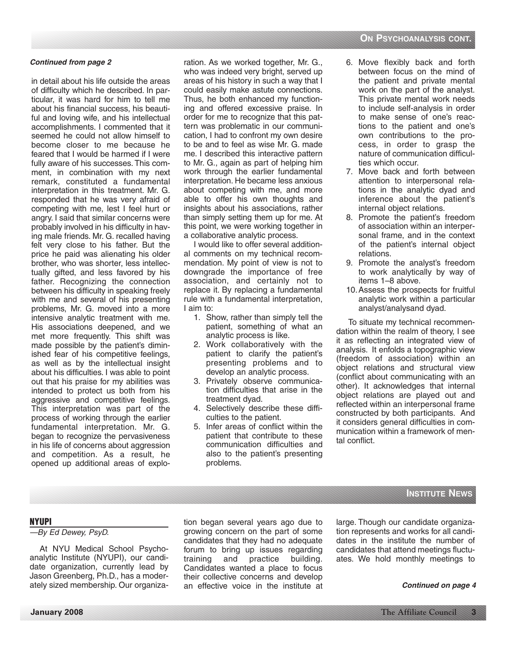in detail about his life outside the areas of difficulty which he described. In particular, it was hard for him to tell me about his financial success, his beautiful and loving wife, and his intellectual accomplishments. I commented that it seemed he could not allow himself to become closer to me because he feared that I would be harmed if I were fully aware of his successes. This comment, in combination with my next remark, constituted a fundamental interpretation in this treatment. Mr. G. responded that he was very afraid of competing with me, lest I feel hurt or angry. I said that similar concerns were probably involved in his difficulty in having male friends. Mr. G. recalled having felt very close to his father. But the price he paid was alienating his older brother, who was shorter, less intellectually gifted, and less favored by his father. Recognizing the connection between his difficulty in speaking freely with me and several of his presenting problems, Mr. G. moved into a more intensive analytic treatment with me. His associations deepened, and we met more frequently. This shift was made possible by the patient's diminished fear of his competitive feelings, as well as by the intellectual insight about his difficulties. I was able to point out that his praise for my abilities was intended to protect us both from his aggressive and competitive feelings. This interpretation was part of the process of working through the earlier fundamental interpretation. Mr. G. began to recognize the pervasiveness in his life of concerns about aggression and competition. As a result, he opened up additional areas of exploration. As we worked together, Mr. G., who was indeed very bright, served up areas of his history in such a way that I could easily make astute connections. Thus, he both enhanced my functioning and offered excessive praise. In order for me to recognize that this pattern was problematic in our communication, I had to confront my own desire to be and to feel as wise Mr. G. made me. I described this interactive pattern to Mr. G., again as part of helping him work through the earlier fundamental interpretation. He became less anxious about competing with me, and more able to offer his own thoughts and insights about his associations, rather than simply setting them up for me. At this point, we were working together in a collaborative analytic process.

I would like to offer several additional comments on my technical recommendation. My point of view is not to downgrade the importance of free association, and certainly not to replace it. By replacing a fundamental rule with a fundamental interpretation, I aim to:

- 1. Show, rather than simply tell the patient, something of what an analytic process is like.
- 2. Work collaboratively with the patient to clarify the patient's presenting problems and to develop an analytic process.
- 3. Privately observe communication difficulties that arise in the treatment dyad.
- 4. Selectively describe these difficulties to the patient.
- 5. Infer areas of conflict within the patient that contribute to these communication difficulties and also to the patient's presenting problems.
- 6. Move flexibly back and forth between focus on the mind of the patient and private mental work on the part of the analyst. This private mental work needs to include self-analysis in order to make sense of one's reactions to the patient and one's own contributions to the process, in order to grasp the nature of communication difficulties which occur.
- 7. Move back and forth between attention to interpersonal relations in the analytic dyad and inference about the patient's internal object relations.
- 8. Promote the patient's freedom of association within an interpersonal frame, and in the context of the patient's internal object relations.
- 9. Promote the analyst's freedom to work analytically by way of items 1–8 above.
- 10.Assess the prospects for fruitful analytic work within a particular analyst/analysand dyad.

To situate my technical recommendation within the realm of theory, I see it as reflecting an integrated view of analysis. It enfolds a topographic view (freedom of association) within an object relations and structural view (conflict about communicating with an other). It acknowledges that internal object relations are played out and reflected within an interpersonal frame constructed by both participants. And it considers general difficulties in communication within a framework of mental conflict.

# **INSTITUTE NEWS**

### **NYUPI**

### —By Ed Dewey, PsyD.

At NYU Medical School Psychoanalytic Institute (NYUPI), our candidate organization, currently lead by Jason Greenberg, Ph.D., has a moderately sized membership. Our organization began several years ago due to growing concern on the part of some candidates that they had no adequate forum to bring up issues regarding training and practice building. Candidates wanted a place to focus their collective concerns and develop an effective voice in the institute at

large. Though our candidate organization represents and works for all candidates in the institute the number of candidates that attend meetings fluctuates. We hold monthly meetings to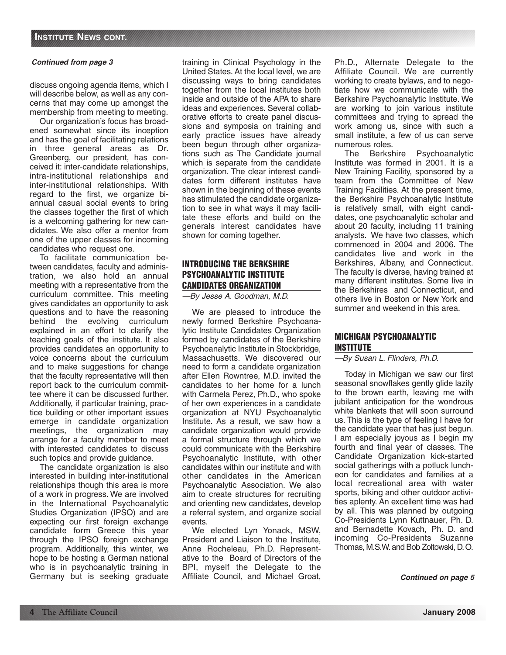discuss ongoing agenda items, which I will describe below, as well as any concerns that may come up amongst the membership from meeting to meeting.

Our organization's focus has broadened somewhat since its inception and has the goal of facilitating relations in three general areas as Dr. Greenberg, our president, has conceived it: inter-candidate relationships, intra-institutional relationships and inter-institutional relationships. With regard to the first, we organize biannual casual social events to bring the classes together the first of which is a welcoming gathering for new candidates. We also offer a mentor from one of the upper classes for incoming candidates who request one.

To facilitate communication between candidates, faculty and administration, we also hold an annual meeting with a representative from the curriculum committee. This meeting gives candidates an opportunity to ask questions and to have the reasoning behind the evolving curriculum explained in an effort to clarify the teaching goals of the institute. It also provides candidates an opportunity to voice concerns about the curriculum and to make suggestions for change that the faculty representative will then report back to the curriculum committee where it can be discussed further. Additionally, if particular training, practice building or other important issues emerge in candidate organization meetings, the organization may arrange for a faculty member to meet with interested candidates to discuss such topics and provide guidance.

The candidate organization is also interested in building inter-institutional relationships though this area is more of a work in progress. We are involved in the International Psychoanalytic Studies Organization (IPSO) and are expecting our first foreign exchange candidate form Greece this year through the IPSO foreign exchange program. Additionally, this winter, we hope to be hosting a German national who is in psychoanalytic training in Germany but is seeking graduate

training in Clinical Psychology in the United States. At the local level, we are discussing ways to bring candidates together from the local institutes both inside and outside of the APA to share ideas and experiences. Several collaborative efforts to create panel discussions and symposia on training and early practice issues have already been begun through other organizations such as The Candidate journal which is separate from the candidate organization. The clear interest candidates form different institutes have shown in the beginning of these events has stimulated the candidate organization to see in what ways it may facilitate these efforts and build on the generals interest candidates have shown for coming together.

# **INTRODUCING THE BERKSHIRE PSYCHOANALYTIC INSTITUTE CANDIDATES ORGANIZATION**

—By Jesse A. Goodman, M.D.

We are pleased to introduce the newly formed Berkshire Psychoanalytic Institute Candidates Organization formed by candidates of the Berkshire Psychoanalytic Institute in Stockbridge, Massachusetts. We discovered our need to form a candidate organization after Ellen Rowntree, M.D. invited the candidates to her home for a lunch with Carmela Perez, Ph.D., who spoke of her own experiences in a candidate organization at NYU Psychoanalytic Institute. As a result, we saw how a candidate organization would provide a formal structure through which we could communicate with the Berkshire Psychoanalytic Institute, with other candidates within our institute and with other candidates in the American Psychoanalytic Association. We also aim to create structures for recruiting and orienting new candidates, develop a referral system, and organize social events.

We elected Lyn Yonack, MSW, President and Liaison to the Institute, Anne Rocheleau, Ph.D. Representative to the Board of Directors of the BPI, myself the Delegate to the Affiliate Council, and Michael Groat,

Ph.D., Alternate Delegate to the Affiliate Council. We are currently working to create bylaws, and to negotiate how we communicate with the Berkshire Psychoanalytic Institute. We are working to join various institute committees and trying to spread the work among us, since with such a small institute, a few of us can serve numerous roles.

The Berkshire Psychoanalytic Institute was formed in 2001. It is a New Training Facility, sponsored by a team from the Committee of New Training Facilities. At the present time, the Berkshire Psychoanalytic Institute is relatively small, with eight candidates, one psychoanalytic scholar and about 20 faculty, including 11 training analysts. We have two classes, which commenced in 2004 and 2006. The candidates live and work in the Berkshires, Albany, and Connecticut. The faculty is diverse, having trained at many different institutes. Some live in the Berkshires and Connecticut, and others live in Boston or New York and summer and weekend in this area.

# **MICHIGAN PSYCHOANALYTIC INSTITUTE**

### —By Susan L. Flinders, Ph.D.

Today in Michigan we saw our first seasonal snowflakes gently glide lazily to the brown earth, leaving me with jubilant anticipation for the wondrous white blankets that will soon surround us. This is the type of feeling I have for the candidate year that has just begun. I am especially joyous as I begin my fourth and final year of classes. The Candidate Organization kick-started social gatherings with a potluck luncheon for candidates and families at a local recreational area with water sports, biking and other outdoor activities aplenty. An excellent time was had by all. This was planned by outgoing Co-Presidents Lynn Kuttnauer, Ph. D. and Bernadette Kovach, Ph. D. and incoming Co-Presidents Suzanne Thomas, M.S.W.and Bob Zoltowski, D.O.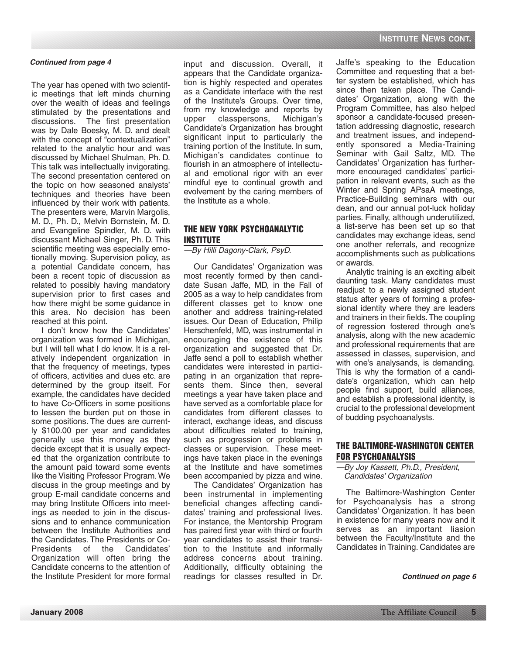The year has opened with two scientific meetings that left minds churning over the wealth of ideas and feelings stimulated by the presentations and discussions. The first presentation was by Dale Boesky, M. D. and dealt with the concept of "contextualization" related to the analytic hour and was discussed by Michael Shulman, Ph. D. This talk was intellectually invigorating. The second presentation centered on the topic on how seasoned analysts' techniques and theories have been influenced by their work with patients. The presenters were, Marvin Margolis, M. D., Ph. D., Melvin Bornstein, M. D. and Evangeline Spindler, M. D. with discussant Michael Singer, Ph. D. This scientific meeting was especially emotionally moving. Supervision policy, as a potential Candidate concern, has been a recent topic of discussion as related to possibly having mandatory supervision prior to first cases and how there might be some guidance in this area. No decision has been reached at this point.

I don't know how the Candidates' organization was formed in Michigan, but I will tell what I do know. It is a relatively independent organization in that the frequency of meetings, types of officers, activities and dues etc. are determined by the group itself. For example, the candidates have decided to have Co-Officers in some positions to lessen the burden put on those in some positions. The dues are currently \$100.00 per year and candidates generally use this money as they decide except that it is usually expected that the organization contribute to the amount paid toward some events like the Visiting Professor Program. We discuss in the group meetings and by group E-mail candidate concerns and may bring Institute Officers into meetings as needed to join in the discussions and to enhance communication between the Institute Authorities and the Candidates. The Presidents or Co-Presidents of the Candidates' Organization will often bring the Candidate concerns to the attention of the Institute President for more formal

**Continued from page 4 input** and discussion. Overall, it Jaffe's speaking to the Education appears that the Candidate organization is highly respected and operates as a Candidate interface with the rest of the Institute's Groups. Over time, from my knowledge and reports by upper classpersons, Michigan's Candidate's Organization has brought significant input to particularly the training portion of the Institute. In sum, Michigan's candidates continue to flourish in an atmosphere of intellectual and emotional rigor with an ever mindful eye to continual growth and evolvement by the caring members of the Institute as a whole.

# **THE NEW YORK PSYCHOANALYTIC INSTITUTE**

—By Hilli Dagony-Clark, PsyD.

Our Candidates' Organization was most recently formed by then candidate Susan Jaffe, MD, in the Fall of 2005 as a way to help candidates from different classes get to know one another and address training-related issues. Our Dean of Education, Philip Herschenfeld, MD, was instrumental in encouraging the existence of this organization and suggested that Dr. Jaffe send a poll to establish whether candidates were interested in participating in an organization that represents them. Since then, several meetings a year have taken place and have served as a comfortable place for candidates from different classes to interact, exchange ideas, and discuss about difficulties related to training, such as progression or problems in classes or supervision. These meetings have taken place in the evenings at the Institute and have sometimes been accompanied by pizza and wine.

The Candidates' Organization has been instrumental in implementing beneficial changes affecting candidates' training and professional lives. For instance, the Mentorship Program has paired first year with third or fourth year candidates to assist their transition to the Institute and informally address concerns about training. Additionally, difficulty obtaining the readings for classes resulted in Dr.

Committee and requesting that a better system be established, which has since then taken place. The Candidates' Organization, along with the Program Committee, has also helped sponsor a candidate-focused presentation addressing diagnostic, research and treatment issues, and independently sponsored a Media-Training Seminar with Gail Saltz, MD. The Candidates' Organization has furthermore encouraged candidates' participation in relevant events, such as the Winter and Spring APsaA meetings, Practice-Building seminars with our dean, and our annual pot-luck holiday parties. Finally, although underutilized, a list-serve has been set up so that candidates may exchange ideas, send one another referrals, and recognize accomplishments such as publications or awards.

Analytic training is an exciting albeit daunting task. Many candidates must readjust to a newly assigned student status after years of forming a professional identity where they are leaders and trainers in their fields.The coupling of regression fostered through one's analysis, along with the new academic and professional requirements that are assessed in classes, supervision, and with one's analysands, is demanding. This is why the formation of a candidate's organization, which can help people find support, build alliances, and establish a professional identity, is crucial to the professional development of budding psychoanalysts.

# **THE BALTIMORE-WASHINGTON CENTER FOR PSYCHOANALYSIS**

—By Joy Kassett, Ph.D., President, Candidates' Organization

The Baltimore-Washington Center for Psychoanalysis has a strong Candidates' Organization. It has been in existence for many years now and it serves as an important liasion between the Faculty/Institute and the Candidates in Training. Candidates are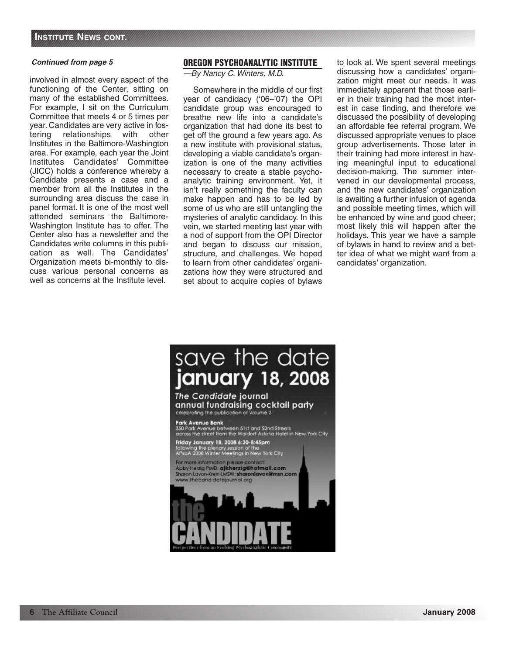involved in almost every aspect of the functioning of the Center, sitting on many of the established Committees. For example, I sit on the Curriculum Committee that meets 4 or 5 times per year. Candidates are very active in fostering relationships with other Institutes in the Baltimore-Washington area. For example, each year the Joint Institutes Candidates' Committee (JICC) holds a conference whereby a Candidate presents a case and a member from all the Institutes in the surrounding area discuss the case in panel format. It is one of the most well attended seminars the Baltimore-Washington Institute has to offer. The Center also has a newsletter and the Candidates write columns in this publication as well. The Candidates' Organization meets bi-monthly to discuss various personal concerns as well as concerns at the Institute level.

### **OREGON PSYCHOANALYTIC INSTITUTE**

—By Nancy C. Winters, M.D.

Somewhere in the middle of our first year of candidacy ('06–'07) the OPI candidate group was encouraged to breathe new life into a candidate's organization that had done its best to get off the ground a few years ago. As a new institute with provisional status, developing a viable candidate's organization is one of the many activities necessary to create a stable psychoanalytic training environment. Yet, it isn't really something the faculty can make happen and has to be led by some of us who are still untangling the mysteries of analytic candidacy. In this vein, we started meeting last year with a nod of support from the OPI Director and began to discuss our mission, structure, and challenges. We hoped to learn from other candidates' organizations how they were structured and set about to acquire copies of bylaws to look at. We spent several meetings discussing how a candidates' organization might meet our needs. It was immediately apparent that those earlier in their training had the most interest in case finding, and therefore we discussed the possibility of developing an affordable fee referral program. We discussed appropriate venues to place group advertisements. Those later in their training had more interest in having meaningful input to educational decision-making. The summer intervened in our developmental process, and the new candidates' organization is awaiting a further infusion of agenda and possible meeting times, which will be enhanced by wine and good cheer; most likely this will happen after the holidays. This year we have a sample of bylaws in hand to review and a better idea of what we might want from a candidates' organization.

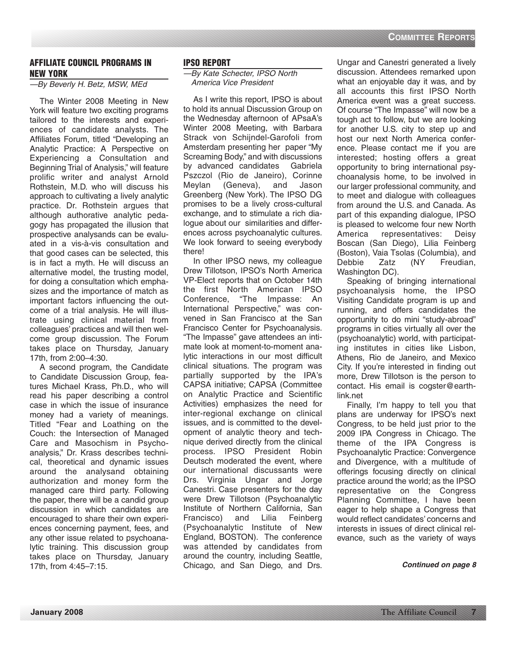# **AFFILIATE COUNCIL PROGRAMS IN NEW YORK**

# —By Beverly H. Betz, MSW, MEd

The Winter 2008 Meeting in New York will feature two exciting programs tailored to the interests and experiences of candidate analysts. The Affiliates Forum, titled "Developing an Analytic Practice: A Perspective on Experiencing a Consultation and Beginning Trial of Analysis," will feature prolific writer and analyst Arnold Rothstein, M.D. who will discuss his approach to cultivating a lively analytic practice. Dr. Rothstein argues that although authorative analytic pedagogy has propagated the illusion that prospective analysands can be evaluated in a vis-à-vis consultation and that good cases can be selected, this is in fact a myth. He will discuss an alternative model, the trusting model, for doing a consultation which emphasizes and the importance of match as important factors influencing the outcome of a trial analysis. He will illustrate using clinical material from colleagues' practices and will then welcome group discussion. The Forum takes place on Thursday, January 17th, from 2:00–4:30.

A second program, the Candidate to Candidate Discussion Group, features Michael Krass, Ph.D., who will read his paper describing a control case in which the issue of insurance money had a variety of meanings. Titled "Fear and Loathing on the Couch: the Intersection of Managed Care and Masochism in Psychoanalysis," Dr. Krass describes technical, theoretical and dynamic issues around the analysand obtaining authorization and money form the managed care third party. Following the paper, there will be a candid group discussion in which candidates are encouraged to share their own experiences concerning payment, fees, and any other issue related to psychoanalytic training. This discussion group takes place on Thursday, January 17th, from 4:45–7:15.

### **IPSO REPORT**

—By Kate Schecter, IPSO North America Vice President

As I write this report, IPSO is about to hold its annual Discussion Group on the Wednesday afternoon of APsaA's Winter 2008 Meeting, with Barbara Strack von Schijndel-Garofoli from Amsterdam presenting her paper "My Screaming Body," and with discussions by advanced candidates Gabriela Pszczol (Rio de Janeiro), Corinne Meylan (Geneva), and Jason Greenberg (New York). The IPSO DG promises to be a lively cross-cultural exchange, and to stimulate a rich dialogue about our similarities and differences across psychoanalytic cultures. We look forward to seeing everybody there!

In other IPSO news, my colleague Drew Tillotson, IPSO's North America VP-Elect reports that on October 14th the first North American IPSO Conference, "The Impasse: An International Perspective," was convened in San Francisco at the San Francisco Center for Psychoanalysis. "The Impasse" gave attendees an intimate look at moment-to-moment analytic interactions in our most difficult clinical situations. The program was partially supported by the IPA's CAPSA initiative; CAPSA (Committee on Analytic Practice and Scientific Activities) emphasizes the need for inter-regional exchange on clinical issues, and is committed to the development of analytic theory and technique derived directly from the clinical process. IPSO President Robin Deutsch moderated the event, where our international discussants were Drs. Virginia Ungar and Jorge Canestri. Case presenters for the day were Drew Tillotson (Psychoanalytic Institute of Northern California, San<br>Francisco) and Lilia Feinberg Francisco) and Lilia (Psychoanalytic Institute of New England, BOSTON). The conference was attended by candidates from around the country, including Seattle, Chicago, and San Diego, and Drs.

Ungar and Canestri generated a lively discussion. Attendees remarked upon what an enjoyable day it was, and by all accounts this first IPSO North America event was a great success. Of course "The Impasse" will now be a tough act to follow, but we are looking for another U.S. city to step up and host our next North America conference. Please contact me if you are interested; hosting offers a great opportunity to bring international psychoanalysis home, to be involved in our larger professional community, and to meet and dialogue with colleagues from around the U.S. and Canada. As part of this expanding dialogue, IPSO is pleased to welcome four new North America representatives: Deisy Boscan (San Diego), Lilia Feinberg (Boston), Vaia Tsolas (Columbia), and Debbie Zatz (NY Freudian, Washington DC).

Speaking of bringing international psychoanalysis home, the IPSO Visiting Candidate program is up and running, and offers candidates the opportunity to do mini "study-abroad" programs in cities virtually all over the (psychoanalytic) world, with participating institutes in cities like Lisbon, Athens, Rio de Janeiro, and Mexico City. If you're interested in finding out more, Drew Tillotson is the person to contact. His email is cogster@earthlink.net

Finally, I'm happy to tell you that plans are underway for IPSO's next Congress, to be held just prior to the 2009 IPA Congress in Chicago. The theme of the IPA Congress is Psychoanalytic Practice: Convergence and Divergence, with a multitude of offerings focusing directly on clinical practice around the world; as the IPSO representative on the Congress Planning Committee, I have been eager to help shape a Congress that would reflect candidates' concerns and interests in issues of direct clinical relevance, such as the variety of ways